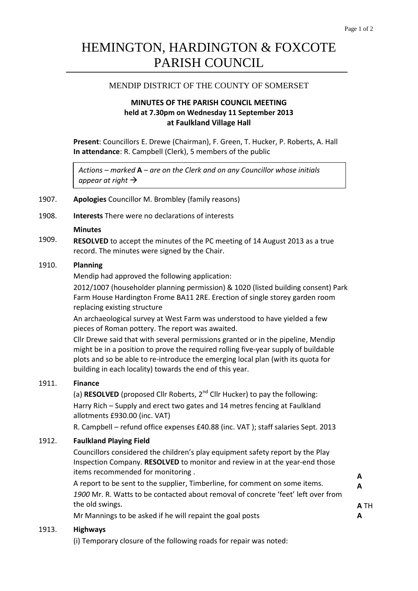# HEMINGTON, HARDINGTON & FOXCOTE PARISH COUNCIL

# MENDIP DISTRICT OF THE COUNTY OF SOMERSET

## **MINUTES OF THE PARISH COUNCIL MEETING held at 7.30pm on Wednesday 11 September 2013 at Faulkland Village Hall**

**Present**: Councillors E. Drewe (Chairman), F. Green, T. Hucker, P. Roberts, A. Hall **In attendance**: R. Campbell (Clerk), 5 members of the public

*Actions – marked* **A** *– are on the Clerk and on any Councillor whose initials appear at right*

- 1907. **Apologies** Councillor M. Brombley (family reasons)
- 1908. **Interests** There were no declarations of interests

#### **Minutes**

1909. **RESOLVED** to accept the minutes of the PC meeting of 14 August 2013 as a true record. The minutes were signed by the Chair.

## 1910. **Planning**

Mendip had approved the following application:

2012/1007 (householder planning permission) & 1020 (listed building consent) Park Farm House Hardington Frome BA11 2RE. Erection of single storey garden room replacing existing structure

An archaeological survey at West Farm was understood to have yielded a few pieces of Roman pottery. The report was awaited.

Cllr Drewe said that with several permissions granted or in the pipeline, Mendip might be in a position to prove the required rolling five-year supply of buildable plots and so be able to re-introduce the emerging local plan (with its quota for building in each locality) towards the end of this year.

## 1911. **Finance**

(a) **RESOLVED** (proposed Cllr Roberts, 2<sup>nd</sup> Cllr Hucker) to pay the following: Harry Rich – Supply and erect two gates and 14 metres fencing at Faulkland allotments £930.00 (inc. VAT)

R. Campbell – refund office expenses £40.88 (inc. VAT ); staff salaries Sept. 2013

#### 1912. **Faulkland Playing Field**

Councillors considered the children's play equipment safety report by the Play Inspection Company. **RESOLVED** to monitor and review in at the year-end those items recommended for monitoring .

A report to be sent to the supplier, Timberline, for comment on some items. *1900* Mr. R. Watts to be contacted about removal of concrete 'feet' left over from the old swings. **A A A** TH **A**

Mr Mannings to be asked if he will repaint the goal posts

#### 1913. **Highways**

(i) Temporary closure of the following roads for repair was noted: